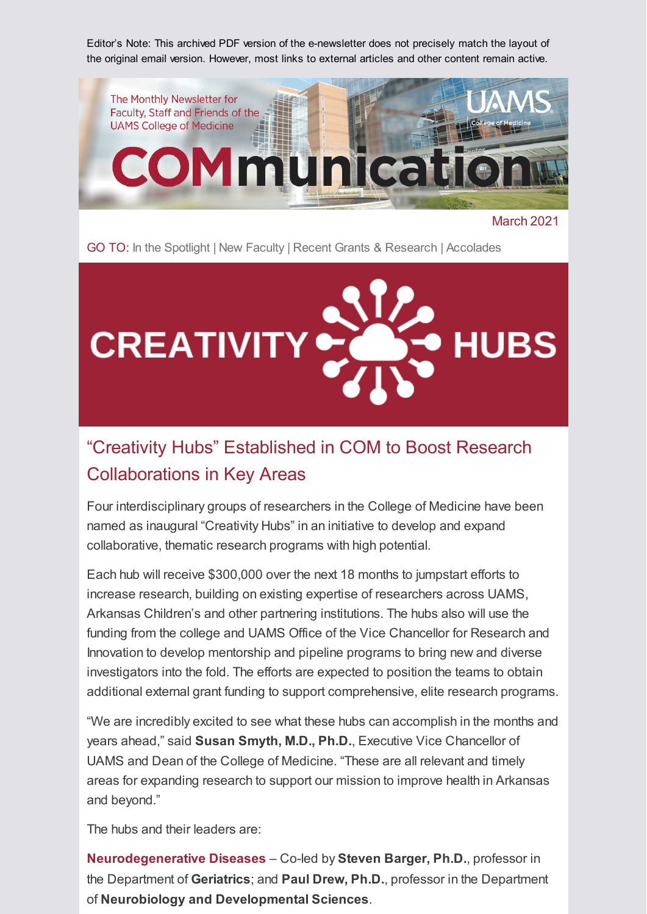Editor's Note: This archived PDF version of the e-newsletter does not precisely match the layout of the original email version. However, most links to external articles and other content remain active.



March 2021

GO TO: [In the Spotlight](#page-1-0) | [New Faculty](#page-2-0) | [Recent Grants & Research](#page-2-1) | [Accolades](#page-3-0)



### "Creativity Hubs" Established in COM to Boost Research Collaborations in Key Areas

Four interdisciplinary groups of researchers in the College of Medicine have been named as inaugural "Creativity Hubs" in an initiative to develop and expand collaborative, thematic research programs with high potential.

Each hub will receive \$300,000 over the next 18 months to jumpstart efforts to increase research, building on existing expertise of researchers across UAMS, Arkansas Children's and other partnering institutions. The hubs also will use the funding from the college and UAMS Office of the Vice Chancellor for Research and Innovation to develop mentorship and pipeline programs to bring new and diverse investigators into the fold. The efforts are expected to position the teams to obtain additional external grant funding to support comprehensive, elite research programs.

"We are incredibly excited to see what these hubs can accomplish in the months and years ahead," said **Susan Smyth, M.D., Ph.D.**, Executive Vice Chancellor of UAMS and Dean of the College of Medicine. "These are all relevant and timely areas for expanding research to support our mission to improve health in Arkansas and beyond."

The hubs and their leaders are:

**Neurodegenerative Diseases** – Co-led by **Steven Barger, Ph.D.**, professor in the Department of **Geriatrics**; and **Paul Drew, Ph.D.**, professor in the Department of **Neurobiology and Developmental Sciences**.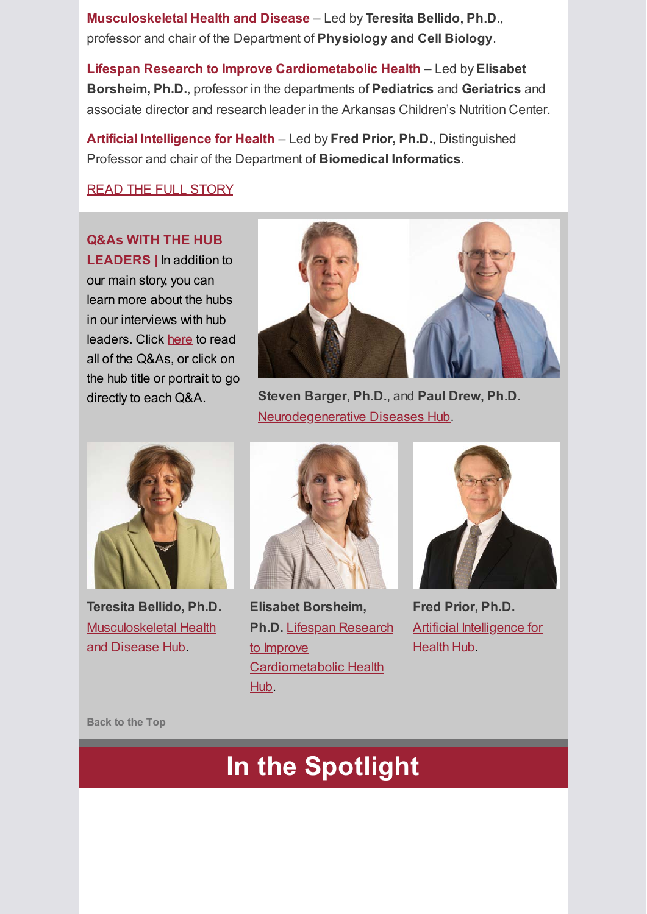**Musculoskeletal Health and Disease** – Led by **Teresita Bellido, Ph.D.**, professor and chair of the Department of **Physiology and Cell Biology**.

**Lifespan Research to Improve Cardiometabolic Health** – Led by **Elisabet Borsheim, Ph.D.**, professor in the departments of **Pediatrics** and **Geriatrics** and associate director and research leader in the Arkansas Children's Nutrition Center.

**Artificial Intelligence for Health** – Led by **Fred Prior, Ph.D.**, Distinguished Professor and chair of the Department of **Biomedical Informatics**.

#### [READ THE FULL STORY](https://medicine.uams.edu/blog/creativity-hubs-established-in-uams-college-of-medicine-to-boost-research-collaborations-in-key-areas/)

**Q&As WITH THE HUB LEADERS |** In addition to our main story, you can learn more about the hubs in our interviews with hub leaders. Click [here](https://medicine.uams.edu/blog/com-creativity-hubs-qas-with-the-hub-leaders/) to read all of the Q&As, or click on the hub title or portrait to go



directly to each Q&A. **Steven Barger, Ph.D.**, and **Paul Drew, Ph.D.** [Neurodegenerative Diseases Hub.](https://medicine.uams.edu/blog/com-creativity-hubs-qas-with-the-hub-leaders/#neurodegenerative)



**Teresita Bellido, Ph.D.** [Musculoskeletal Health](https://medicine.uams.edu/blog/com-creativity-hubs-qas-with-the-hub-leaders/#musculoskeletal) and Disease Hub.



**Elisabet Borsheim, Ph.D.** Lifespan Research to Improve [Cardiometabolic Health](https://medicine.uams.edu/blog/com-creativity-hubs-qas-with-the-hub-leaders/#lifespan) Hub.



**Fred Prior, Ph.D. [Artificial Intelligence for](https://medicine.uams.edu/blog/com-creativity-hubs-qas-with-the-hub-leaders/#ai)** Health Hub.

<span id="page-1-0"></span>**Back to the Top**

# **In the Spotlight**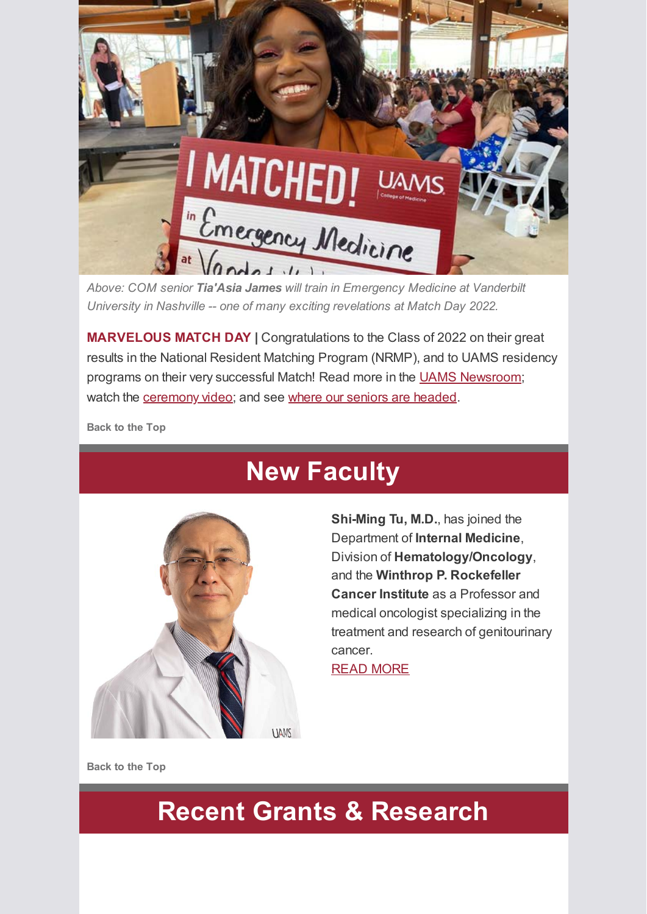

*Above: COM senior Tia'Asia James will train in Emergency Medicine at Vanderbilt University in Nashville -- one of many exciting revelations at Match Day 2022.*

**MARVELOUS MATCH DAY |** Congratulations to the Class of 2022 on their great results in the National Resident Matching Program (NRMP), and to UAMS residency programs on their very successful Match! Read more in the [UAMS Newsroom;](https://news.uams.edu/2022/03/21/college-of-medicine-match-day-ceremony-applauds-158-seniors-fanning-out-across-the-country-to-improve-the-world/) watch the [ceremony video;](https://medicine.uams.edu/match-day-2022/) and see [where our seniors are headed.](https://medicine.uams.edu/wp-content/uploads/2022/04/2022-MATCH-for-distribution-4.6.22-UPDATED.pdf)

<span id="page-2-0"></span>**Back to the Top**

## **New Faculty**



**Shi-Ming Tu, M.D.**, has joined the Department of **Internal Medicine**, Division of **Hematology/Oncology**, and the **Winthrop P. Rockefeller Cancer Institute** as a Professor and medical oncologist specializing in the treatment and research of genitourinary cancer.

[READ MORE](https://news.uams.edu/2022/03/21/md-anderson-oncologist-shi-ming-tu-m-d-joins-uams-winthrop-p-rockefeller-cancer-institute/)

<span id="page-2-1"></span>**Back to the Top**

# **Recent Grants & Research**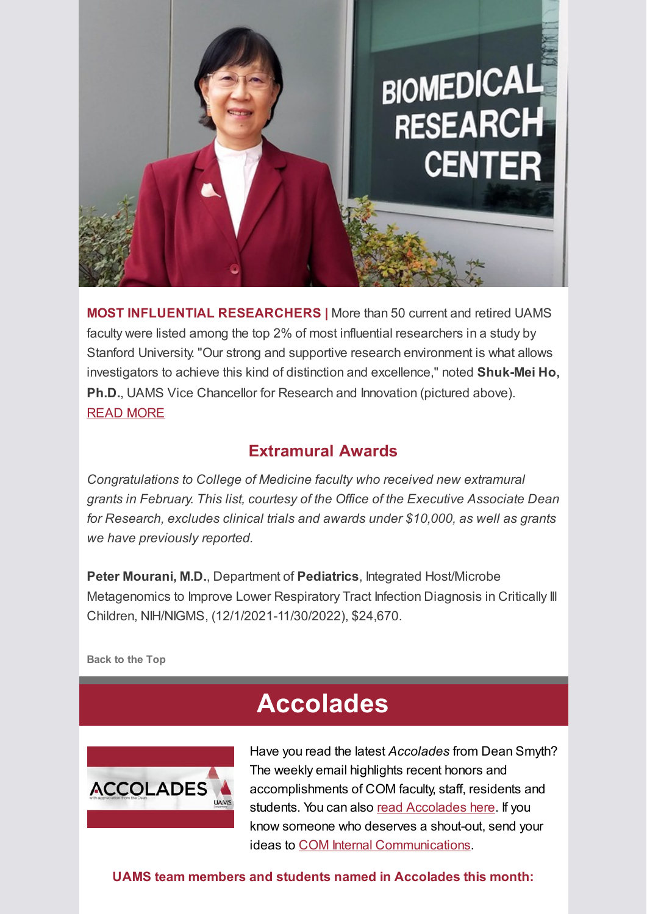

**MOST INFLUENTIAL RESEARCHERS |** More than 50 current and retired UAMS faculty were listed among the top 2% of most influential researchers in a study by Stanford University. "Our strong and supportive research environment is what allows investigators to achieve this kind of distinction and excellence," noted **Shuk-Mei Ho, Ph.D.**, UAMS Vice Chancellor for Research and Innovation (pictured above). [READ MORE](https://news.uams.edu/2022/03/16/study-puts-more-than-50-uams-faculty-among-top-2-of-influential-researchers/)

#### **Extramural Awards**

*Congratulations to College of Medicine faculty who received new extramural grants in February. This list, courtesy of the Office of the Executive Associate Dean for Research, excludes clinical trials and awards under \$10,000, as well as grants we have previously reported.*

**Peter Mourani, M.D.**, Department of **Pediatrics**, Integrated Host/Microbe Metagenomics to Improve Lower Respiratory Tract Infection Diagnosis in Critically Ill Children, NIH/NIGMS, (12/1/2021-11/30/2022), \$24,670.

<span id="page-3-0"></span>**Back to the Top**

## **Accolades**



Have you read the latest *Accolades* from Dean Smyth? The weekly email highlights recent honors and accomplishments of COM faculty, staff, residents and students. You can also [read Accolades here.](https://medicine.uams.edu/about-the-college/features/accolades/) If you know someone who deserves a shout-out, send your ideas to [COM Internal Communications.](mailto:cominternalcommunications@uams.edu)

**UAMS team members and students named in Accolades this month:**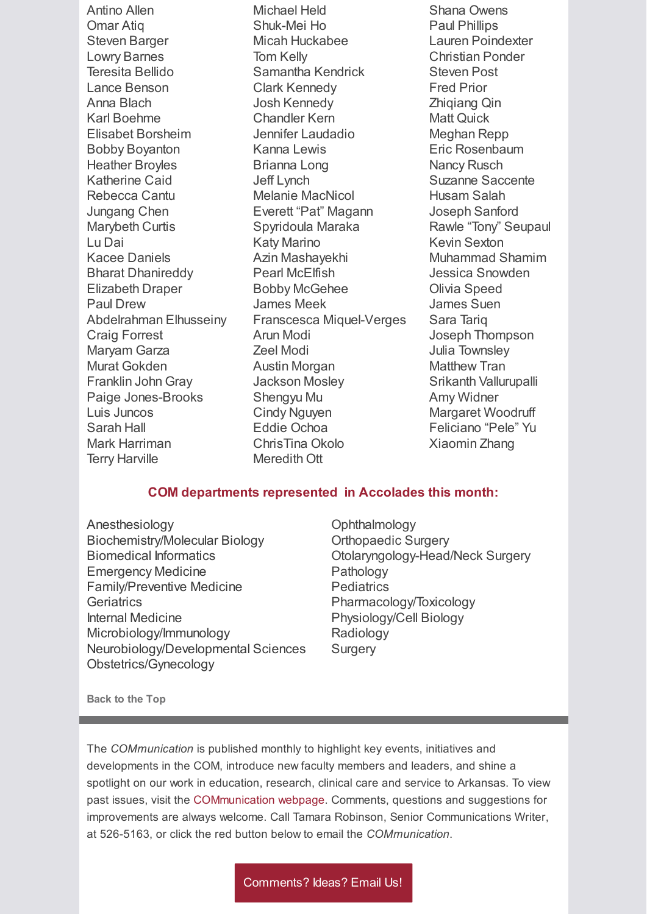Antino Allen Omar Atiq Steven Barger Lowry Barnes Teresita Bellido Lance Benson Anna Blach Karl Boehme Elisabet Borsheim Bobby Boyanton Heather Broyles Katherine Caid Rebecca Cantu Jungang Chen Marybeth Curtis Lu Dai Kacee Daniels Bharat Dhanireddy Elizabeth Draper Paul Drew Abdelrahman Elhusseiny Craig Forrest Maryam Garza Murat Gokden Franklin John Gray Paige Jones-Brooks Luis Juncos Sarah Hall Mark Harriman Terry Harville

Michael Held Shuk-Mei Ho Micah Huckabee Tom Kelly Samantha Kendrick Clark Kennedy Josh Kennedy Chandler Kern Jennifer Laudadio Kanna Lewis Brianna Long Jeff Lynch Melanie MacNicol Everett "Pat" Magann Spyridoula Maraka Katy Marino Azin Mashayekhi Pearl McElfish Bobby McGehee James Meek Franscesca Miquel-Verges Arun Modi Zeel Modi Austin Morgan Jackson Mosley Shengyu Mu Cindy Nguyen Eddie Ochoa ChrisTina Okolo Meredith Ott

Shana Owens Paul Phillips Lauren Poindexter Christian Ponder Steven Post Fred Prior Zhiqiang Qin Matt Quick Meghan Repp Eric Rosenbaum Nancy Rusch Suzanne Saccente Husam Salah Joseph Sanford Rawle "Tony" Seupaul Kevin Sexton Muhammad Shamim Jessica Snowden Olivia Speed James Suen Sara Tariq Joseph Thompson Julia Townsley Matthew Tran Srikanth Vallurupalli Amy Widner Margaret Woodruff Feliciano "Pele" Yu Xiaomin Zhang

#### **COM departments represented in Accolades this month:**

- Anesthesiology Biochemistry/Molecular Biology Biomedical Informatics Emergency Medicine Family/Preventive Medicine **Geriatrics** Internal Medicine Microbiology/Immunology Neurobiology/Developmental Sciences Obstetrics/Gynecology
- **Ophthalmology** Orthopaedic Surgery Otolaryngology-Head/Neck Surgery Pathology **Pediatrics** Pharmacology/Toxicology Physiology/Cell Biology Radiology **Surgery**

**Back to the Top**

The *COMmunication* is published monthly to highlight key events, initiatives and developments in the COM, introduce new faculty members and leaders, and shine a spotlight on our work in education, research, clinical care and service to Arkansas. To view past issues, visit the [COMmunication webpage.](https://medicine.uams.edu/about-the-college/communication-archive/) Comments, questions and suggestions for improvements are always welcome. Call Tamara Robinson, Senior Communications Writer, at 526-5163, or click the red button below to email the *COMmunication*.

[Comments? Ideas? Email Us!](mailto:COMInternalCommunications@uams.edu)